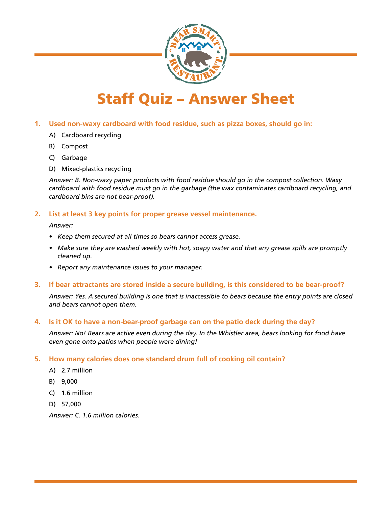

# Staff Quiz – Answer Sheet

# **1. Used non-waxy cardboard with food residue, such as pizza boxes, should go in:**

- A) Cardboard recycling
- B) Compost
- C) Garbage
- D) Mixed-plastics recycling

*Answer: B. Non-waxy paper products with food residue should go in the compost collection. Waxy cardboard with food residue must go in the garbage (the wax contaminates cardboard recycling, and cardboard bins are not bear-proof).* 

# **2. List at least 3 key points for proper grease vessel maintenance.**

*Answer:* 

- *• Keep them secured at all times so bears cannot access grease.*
- *• Make sure they are washed weekly with hot, soapy water and that any grease spills are promptly cleaned up.*
- *• Report any maintenance issues to your manager.*
- **3. If bear attractants are stored inside a secure building, is this considered to be bear-proof?**

*Answer: Yes. A secured building is one that is inaccessible to bears because the entry points are closed and bears cannot open them.* 

# **4. Is it OK to have a non-bear-proof garbage can on the patio deck during the day?**

Answer: No! Bears are active even during the day. In the Whistler area, bears looking for food have *even gone onto patios when people were dining!*

## **5. How many calories does one standard drum full of cooking oil contain?**

- A) 2.7 million
- B) 9,000
- C) 1.6 million
- D) 57,000

*Answer: C. 1.6 million calories.*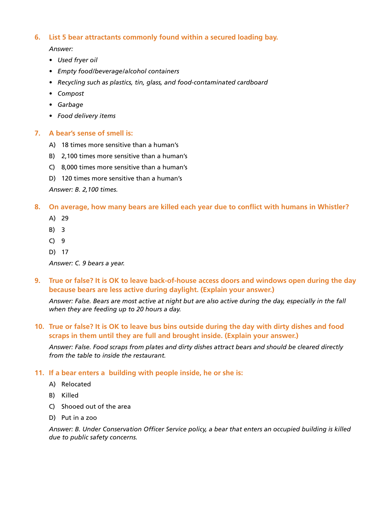# **6. List 5 bear attractants commonly found within a secured loading bay.**

*Answer:* 

- *• Used fryer oil*
- *• Empty food/beverage/alcohol containers*
- *• Recycling such as plastics, tin, glass, and food-contaminated cardboard*
- *• Compost*
- *• Garbage*
- *• Food delivery items*

#### **7. A bear's sense of smell is:**

- A) 18 times more sensitive than a human's
- B) 2,100 times more sensitive than a human's
- C) 8,000 times more sensitive than a human's
- D) 120 times more sensitive than a human's

*Answer: B. 2,100 times.*

#### **8. On average, how many bears are killed each year due to conflict with humans in Whistler?**

- A) 29
- B) 3
- C) 9
- D) 17

*Answer: C. 9 bears a year.*

**9. True or false? It is OK to leave back-of-house access doors and windows open during the day because bears are less active during daylight. (Explain your answer.)**

Answer: False. Bears are most active at night but are also active during the day, especially in the fall *when they are feeding up to 20 hours a day.* 

## **10. True or false? It is OK to leave bus bins outside during the day with dirty dishes and food scraps in them until they are full and brought inside. (Explain your answer.)**

*Answer: False. Food scraps from plates and dirty dishes attract bears and should be cleared directly from the table to inside the restaurant.* 

## **11. If a bear enters a building with people inside, he or she is:**

- A) Relocated
- B) Killed
- C) Shooed out of the area
- D) Put in a zoo

*Answer: B. Under Conservation Officer Service policy, a bear that enters an occupied building is killed due to public safety concerns.*